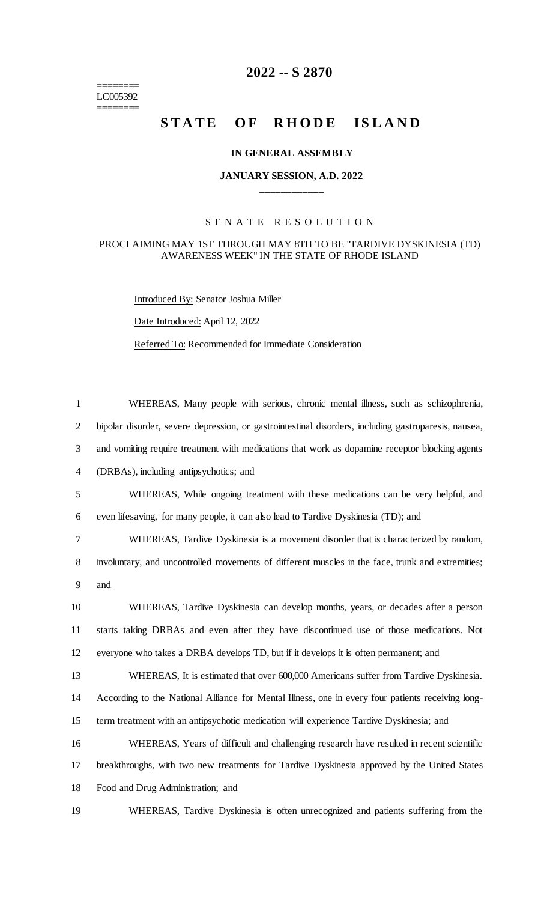======== LC005392 ========

## **-- S 2870**

# STATE OF RHODE ISLAND

#### **IN GENERAL ASSEMBLY**

#### **JANUARY SESSION, A.D. 2022 \_\_\_\_\_\_\_\_\_\_\_\_**

### S E N A T E R E S O L U T I O N

#### PROCLAIMING MAY 1ST THROUGH MAY 8TH TO BE "TARDIVE DYSKINESIA (TD) AWARENESS WEEK" IN THE STATE OF RHODE ISLAND

Introduced By: Senator Joshua Miller

Date Introduced: April 12, 2022

Referred To: Recommended for Immediate Consideration

| $\mathbf{1}$   | WHEREAS, Many people with serious, chronic mental illness, such as schizophrenia,                    |
|----------------|------------------------------------------------------------------------------------------------------|
| $\overline{2}$ | bipolar disorder, severe depression, or gastrointestinal disorders, including gastroparesis, nausea, |
| 3              | and vomiting require treatment with medications that work as dopamine receptor blocking agents       |
| $\overline{4}$ | (DRBAs), including antipsychotics; and                                                               |
| 5              | WHEREAS, While ongoing treatment with these medications can be very helpful, and                     |
| 6              | even lifesaving, for many people, it can also lead to Tardive Dyskinesia (TD); and                   |
| 7              | WHEREAS, Tardive Dyskinesia is a movement disorder that is characterized by random,                  |
| 8              | involuntary, and uncontrolled movements of different muscles in the face, trunk and extremities;     |
| 9              | and                                                                                                  |
| 10             | WHEREAS, Tardive Dyskinesia can develop months, years, or decades after a person                     |
| 11             | starts taking DRBAs and even after they have discontinued use of those medications. Not              |
| 12             | everyone who takes a DRBA develops TD, but if it develops it is often permanent; and                 |
| 13             | WHEREAS, It is estimated that over 600,000 Americans suffer from Tardive Dyskinesia.                 |
| 14             | According to the National Alliance for Mental Illness, one in every four patients receiving long-    |
| 15             | term treatment with an antipsychotic medication will experience Tardive Dyskinesia; and              |
| 16             | WHEREAS, Years of difficult and challenging research have resulted in recent scientific              |
| 17             | breakthroughs, with two new treatments for Tardive Dyskinesia approved by the United States          |
| 18             | Food and Drug Administration; and                                                                    |
| 19             | WHEREAS, Tardive Dyskinesia is often unrecognized and patients suffering from the                    |